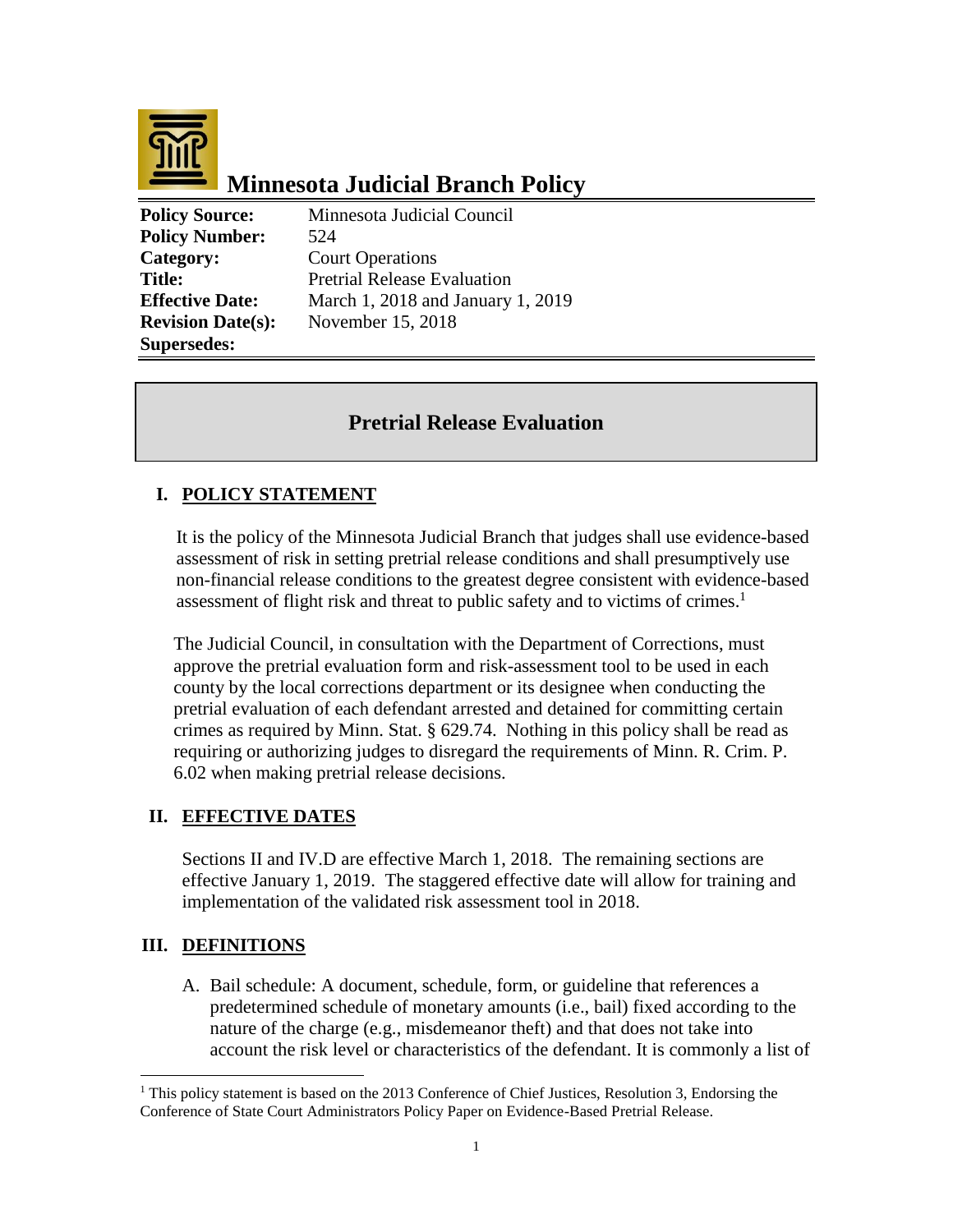

# **Minnesota Judicial Branch Policy**

**Policy Source:** Minnesota Judicial Council **Policy Number:** 524 **Category:** Court Operations **Supersedes:** 

**Title:** Pretrial Release Evaluation **Effective Date:** March 1, 2018 and January 1, 2019 **Revision Date(s):** November 15, 2018

## **Pretrial Release Evaluation**

## **I. POLICY STATEMENT**

It is the policy of the Minnesota Judicial Branch that judges shall use evidence-based assessment of risk in setting pretrial release conditions and shall presumptively use non-financial release conditions to the greatest degree consistent with evidence-based assessment of flight risk and threat to public safety and to victims of crimes.<sup>1</sup>

The Judicial Council, in consultation with the Department of Corrections, must approve the pretrial evaluation form and risk-assessment tool to be used in each county by the local corrections department or its designee when conducting the pretrial evaluation of each defendant arrested and detained for committing certain crimes as required by Minn. Stat. § 629.74. Nothing in this policy shall be read as requiring or authorizing judges to disregard the requirements of Minn. R. Crim. P. 6.02 when making pretrial release decisions.

#### **II. EFFECTIVE DATES**

Sections II and IV.D are effective March 1, 2018. The remaining sections are effective January 1, 2019. The staggered effective date will allow for training and implementation of the validated risk assessment tool in 2018.

#### **III. DEFINITIONS**

 $\overline{a}$ 

A. Bail schedule: A document, schedule, form, or guideline that references a predetermined schedule of monetary amounts (i.e., bail) fixed according to the nature of the charge (e.g., misdemeanor theft) and that does not take into account the risk level or characteristics of the defendant. It is commonly a list of

 $1$  This policy statement is based on the 2013 Conference of Chief Justices, Resolution 3, Endorsing the Conference of State Court Administrators Policy Paper on Evidence-Based Pretrial Release.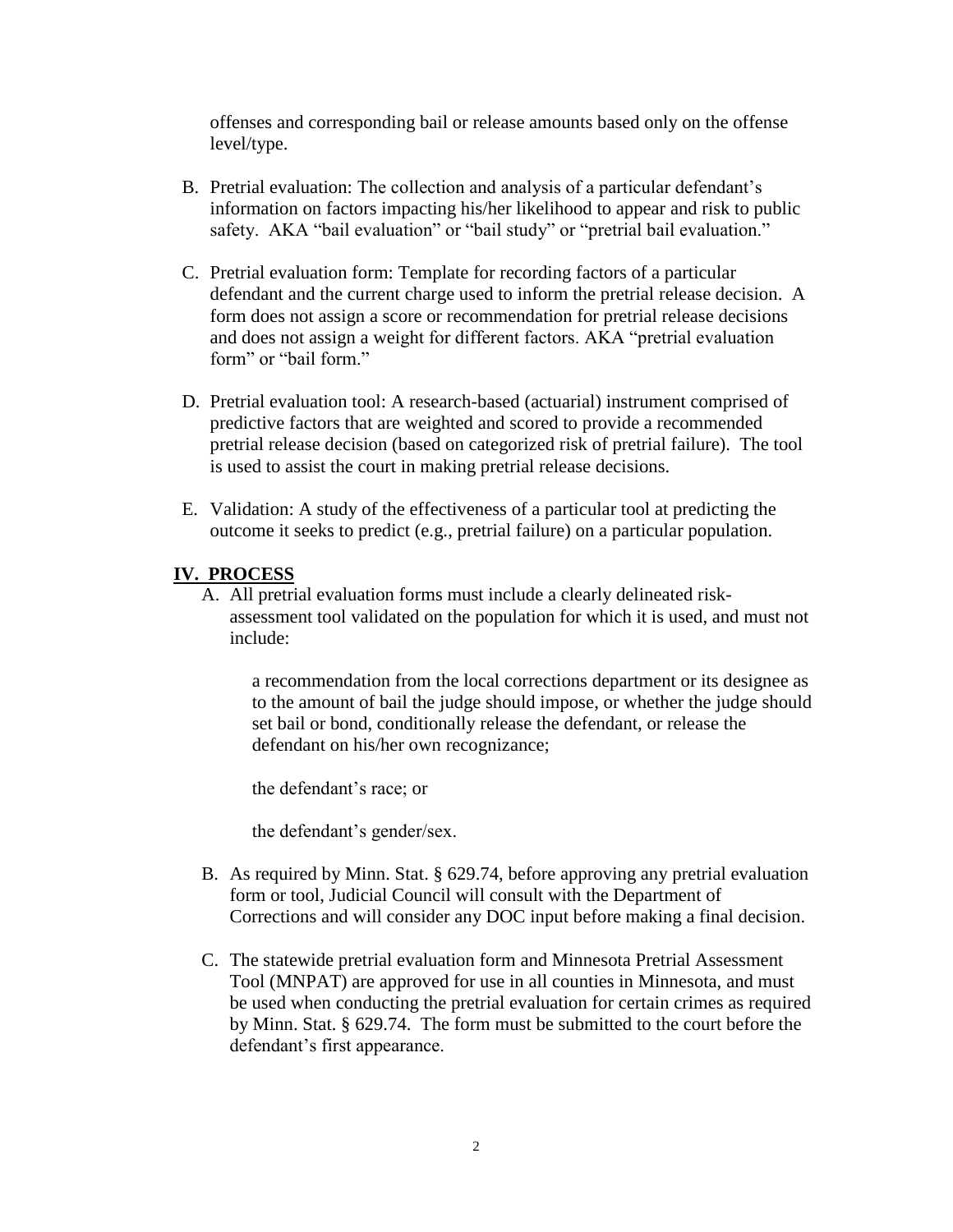offenses and corresponding bail or release amounts based only on the offense level/type.

- B. Pretrial evaluation: The collection and analysis of a particular defendant's information on factors impacting his/her likelihood to appear and risk to public safety. AKA "bail evaluation" or "bail study" or "pretrial bail evaluation."
- C. Pretrial evaluation form: Template for recording factors of a particular defendant and the current charge used to inform the pretrial release decision. A form does not assign a score or recommendation for pretrial release decisions and does not assign a weight for different factors. AKA "pretrial evaluation form" or "bail form"
- D. Pretrial evaluation tool: A research-based (actuarial) instrument comprised of predictive factors that are weighted and scored to provide a recommended pretrial release decision (based on categorized risk of pretrial failure). The tool is used to assist the court in making pretrial release decisions.
- E. Validation: A study of the effectiveness of a particular tool at predicting the outcome it seeks to predict (e.g., pretrial failure) on a particular population.

#### **IV. PROCESS**

A. All pretrial evaluation forms must include a clearly delineated riskassessment tool validated on the population for which it is used, and must not include:

a recommendation from the local corrections department or its designee as to the amount of bail the judge should impose, or whether the judge should set bail or bond, conditionally release the defendant, or release the defendant on his/her own recognizance;

the defendant's race; or

the defendant's gender/sex.

- B. As required by Minn. Stat. § 629.74, before approving any pretrial evaluation form or tool, Judicial Council will consult with the Department of Corrections and will consider any DOC input before making a final decision.
- C. The statewide pretrial evaluation form and Minnesota Pretrial Assessment Tool (MNPAT) are approved for use in all counties in Minnesota, and must be used when conducting the pretrial evaluation for certain crimes as required by Minn. Stat. § 629.74. The form must be submitted to the court before the defendant's first appearance.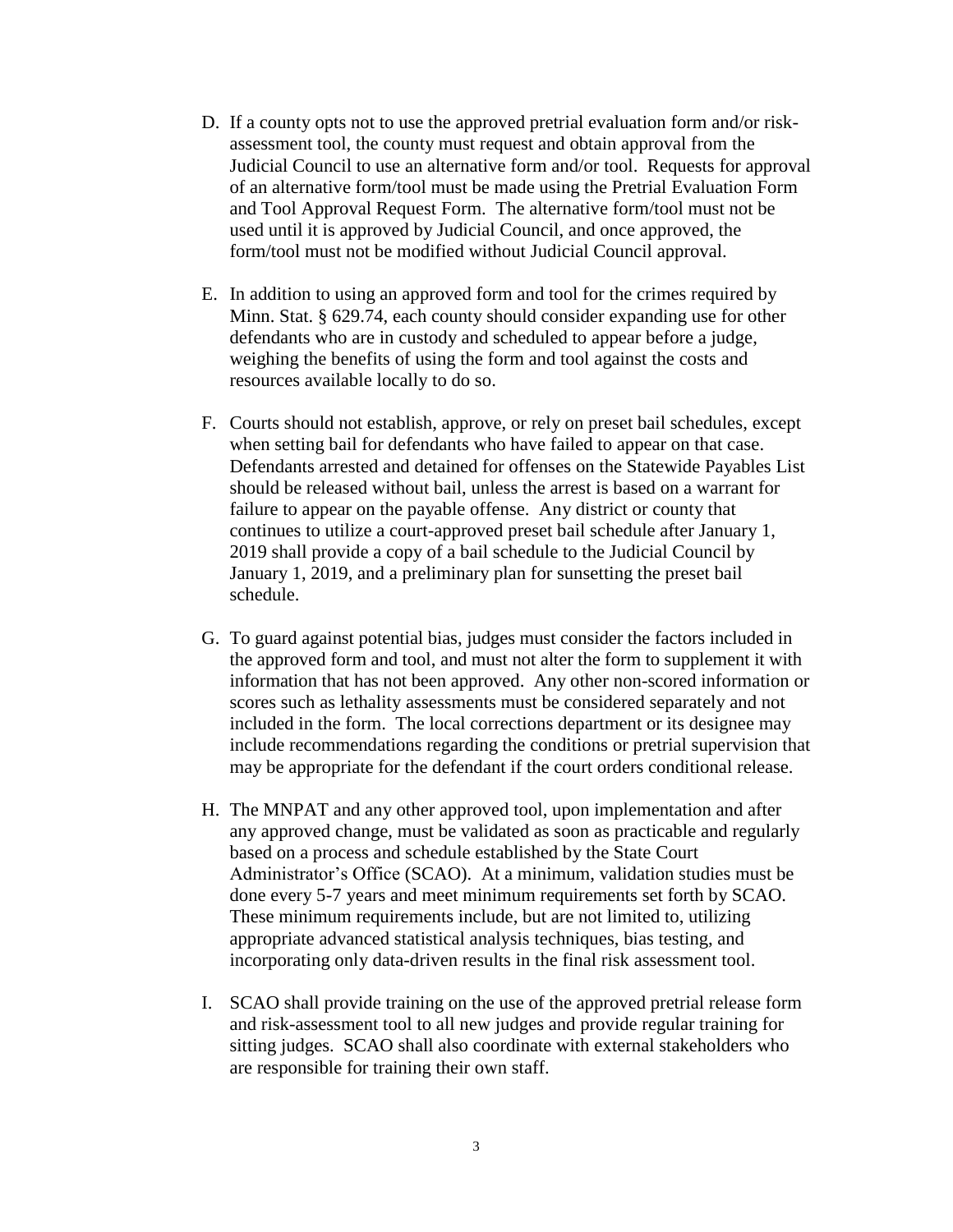- D. If a county opts not to use the approved pretrial evaluation form and/or riskassessment tool, the county must request and obtain approval from the Judicial Council to use an alternative form and/or tool. Requests for approval of an alternative form/tool must be made using the Pretrial Evaluation Form and Tool Approval Request Form. The alternative form/tool must not be used until it is approved by Judicial Council, and once approved, the form/tool must not be modified without Judicial Council approval.
- E. In addition to using an approved form and tool for the crimes required by Minn. Stat. § 629.74, each county should consider expanding use for other defendants who are in custody and scheduled to appear before a judge, weighing the benefits of using the form and tool against the costs and resources available locally to do so.
- F. Courts should not establish, approve, or rely on preset bail schedules, except when setting bail for defendants who have failed to appear on that case. Defendants arrested and detained for offenses on the Statewide Payables List should be released without bail, unless the arrest is based on a warrant for failure to appear on the payable offense. Any district or county that continues to utilize a court-approved preset bail schedule after January 1, 2019 shall provide a copy of a bail schedule to the Judicial Council by January 1, 2019, and a preliminary plan for sunsetting the preset bail schedule.
- G. To guard against potential bias, judges must consider the factors included in the approved form and tool, and must not alter the form to supplement it with information that has not been approved. Any other non-scored information or scores such as lethality assessments must be considered separately and not included in the form. The local corrections department or its designee may include recommendations regarding the conditions or pretrial supervision that may be appropriate for the defendant if the court orders conditional release.
- H. The MNPAT and any other approved tool, upon implementation and after any approved change, must be validated as soon as practicable and regularly based on a process and schedule established by the State Court Administrator's Office (SCAO). At a minimum, validation studies must be done every 5-7 years and meet minimum requirements set forth by SCAO. These minimum requirements include, but are not limited to, utilizing appropriate advanced statistical analysis techniques, bias testing, and incorporating only data-driven results in the final risk assessment tool.
- I. SCAO shall provide training on the use of the approved pretrial release form and risk-assessment tool to all new judges and provide regular training for sitting judges. SCAO shall also coordinate with external stakeholders who are responsible for training their own staff.